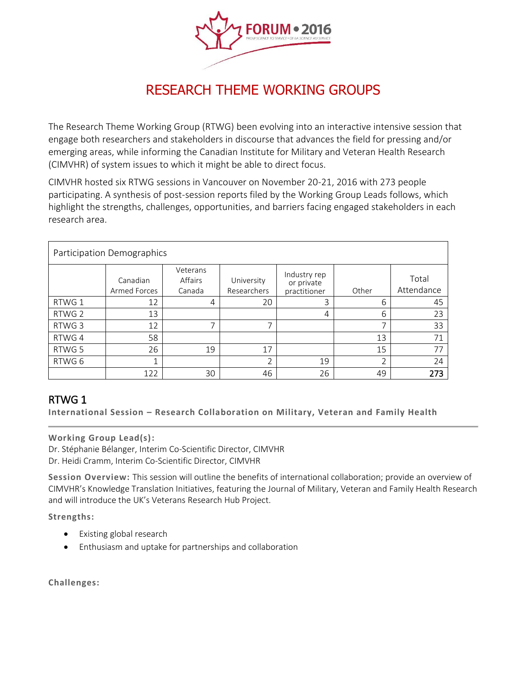

# RESEARCH THEME WORKING GROUPS

The Research Theme Working Group (RTWG) been evolving into an interactive intensive session that engage both researchers and stakeholders in discourse that advances the field for pressing and/or emerging areas, while informing the Canadian Institute for Military and Veteran Health Research (CIMVHR) of system issues to which it might be able to direct focus.

CIMVHR hosted six RTWG sessions in Vancouver on November 20-21, 2016 with 273 people participating. A synthesis of post-session reports filed by the Working Group Leads follows, which highlight the strengths, challenges, opportunities, and barriers facing engaged stakeholders in each research area.

| Participation Demographics |                          |                               |                           |                                            |       |                     |
|----------------------------|--------------------------|-------------------------------|---------------------------|--------------------------------------------|-------|---------------------|
|                            | Canadian<br>Armed Forces | Veterans<br>Affairs<br>Canada | University<br>Researchers | Industry rep<br>or private<br>practitioner | Other | Total<br>Attendance |
| RTWG 1                     | 12                       | 4                             | 20                        | 3                                          | 6     | 45                  |
| RTWG 2                     | 13                       |                               |                           | 4                                          | 6     | 23                  |
| RTWG 3                     | 12                       | $\overline{\phantom{1}}$      | ⇁                         |                                            | ⇁     | 33                  |
| RTWG 4                     | 58                       |                               |                           |                                            | 13    | 71                  |
| RTWG 5                     | 26                       | 19                            | 17                        |                                            | 15    | 77                  |
| RTWG 6                     | 1                        |                               | ำ                         | 19                                         | ำ     | 24                  |
|                            | 122                      | 30                            | 46                        | 26                                         | 49    | 273                 |

# RTWG 1

**International Session – Research Collaboration on Military, Veteran and Family Health** 

#### **Working Group Lead(s):**

Dr. Stéphanie Bélanger, Interim Co-Scientific Director, CIMVHR Dr. Heidi Cramm, Interim Co-Scientific Director, CIMVHR

**Session Overview:** This session will outline the benefits of international collaboration; provide an overview of CIMVHR's Knowledge Translation Initiatives, featuring the Journal of Military, Veteran and Family Health Research and will introduce the UK's Veterans Research Hub Project.

**Strengths:**

- Existing global research
- Enthusiasm and uptake for partnerships and collaboration

**Challenges:**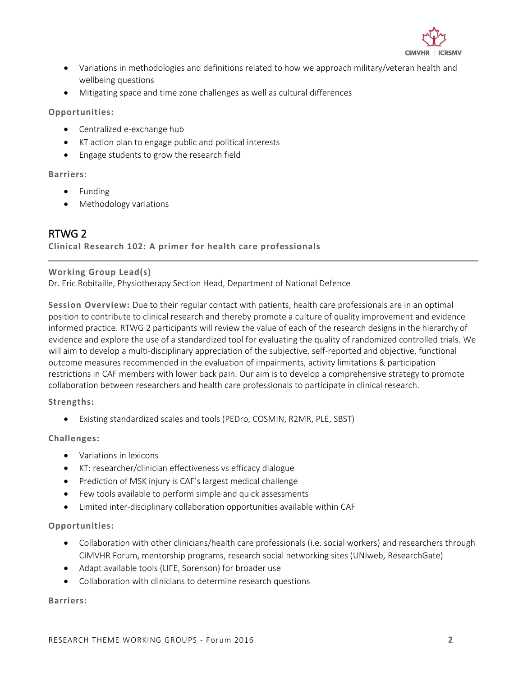

- Variations in methodologies and definitions related to how we approach military/veteran health and wellbeing questions
- Mitigating space and time zone challenges as well as cultural differences

**Opportunities:**

- Centralized e-exchange hub
- KT action plan to engage public and political interests
- Engage students to grow the research field

#### **Barriers:**

- Funding
- Methodology variations

### RTWG 2

**Clinical Research 102: A primer for health care professionals** 

#### **Working Group Lead(s)**

Dr. Eric Robitaille, Physiotherapy Section Head, Department of National Defence

**Session Overview:** Due to their regular contact with patients, health care professionals are in an optimal position to contribute to clinical research and thereby promote a culture of quality improvement and evidence informed practice. RTWG 2 participants will review the value of each of the research designs in the hierarchy of evidence and explore the use of a standardized tool for evaluating the quality of randomized controlled trials. We will aim to develop a multi-disciplinary appreciation of the subjective, self-reported and objective, functional outcome measures recommended in the evaluation of impairments, activity limitations & participation restrictions in CAF members with lower back pain. Our aim is to develop a comprehensive strategy to promote collaboration between researchers and health care professionals to participate in clinical research.

#### **Strengths:**

Existing standardized scales and tools (PEDro, COSMIN, R2MR, PLE, SBST)

#### **Challenges:**

- Variations in lexicons
- KT: researcher/clinician effectiveness vs efficacy dialogue
- Prediction of MSK injury is CAF's largest medical challenge
- Few tools available to perform simple and quick assessments
- Limited inter-disciplinary collaboration opportunities available within CAF

#### **Opportunities:**

- Collaboration with other clinicians/health care professionals (i.e. social workers) and researchers through CIMVHR Forum, mentorship programs, research social networking sites (UNIweb, ResearchGate)
- Adapt available tools (LIFE, Sorenson) for broader use
- Collaboration with clinicians to determine research questions

#### **Barriers:**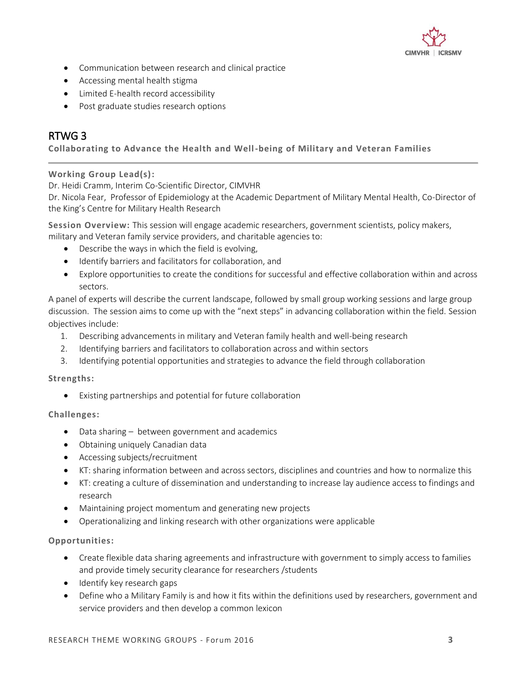

- Communication between research and clinical practice
- Accessing mental health stigma
- Limited E-health record accessibility
- Post graduate studies research options

## RTWG 3

#### **Collaborating to Advance the Health and Well-being of Military and Veteran Families**

#### **Working Group Lead(s):**

Dr. Heidi Cramm, Interim Co-Scientific Director, CIMVHR

Dr. Nicola Fear, Professor of Epidemiology at the Academic Department of Military Mental Health, Co-Director of the King's Centre for Military Health Research

**Session Overview:** This session will engage academic researchers, government scientists, policy makers, military and Veteran family service providers, and charitable agencies to:

- Describe the ways in which the field is evolving,
- Identify barriers and facilitators for collaboration, and
- Explore opportunities to create the conditions for successful and effective collaboration within and across sectors.

A panel of experts will describe the current landscape, followed by small group working sessions and large group discussion. The session aims to come up with the "next steps" in advancing collaboration within the field. Session objectives include:

- 1. Describing advancements in military and Veteran family health and well-being research
- 2. Identifying barriers and facilitators to collaboration across and within sectors
- 3. Identifying potential opportunities and strategies to advance the field through collaboration

#### **Strengths:**

Existing partnerships and potential for future collaboration

#### **Challenges:**

- Data sharing between government and academics
- Obtaining uniquely Canadian data
- Accessing subjects/recruitment
- KT: sharing information between and across sectors, disciplines and countries and how to normalize this
- KT: creating a culture of dissemination and understanding to increase lay audience access to findings and research
- Maintaining project momentum and generating new projects
- Operationalizing and linking research with other organizations were applicable

#### **Opportunities:**

- Create flexible data sharing agreements and infrastructure with government to simply access to families and provide timely security clearance for researchers /students
- Identify key research gaps
- Define who a Military Family is and how it fits within the definitions used by researchers, government and service providers and then develop a common lexicon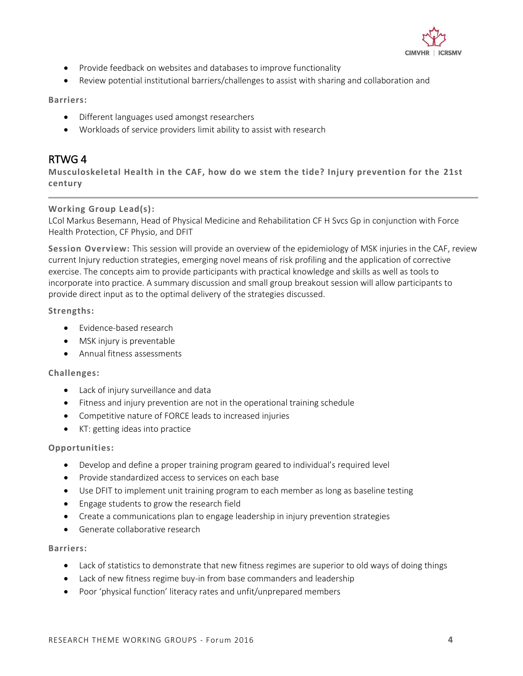

- Provide feedback on websites and databases to improve functionality
- Review potential institutional barriers/challenges to assist with sharing and collaboration and

#### **Barriers:**

- Different languages used amongst researchers
- Workloads of service providers limit ability to assist with research

### RTWG 4

**Musculoskeletal Health in the CAF, how do we stem the tide? Injury prevention for the 21st century**

#### **Working Group Lead(s):**

LCol Markus Besemann, Head of Physical Medicine and Rehabilitation CF H Svcs Gp in conjunction with Force Health Protection, CF Physio, and DFIT

**Session Overview:** This session will provide an overview of the epidemiology of MSK injuries in the CAF, review current Injury reduction strategies, emerging novel means of risk profiling and the application of corrective exercise. The concepts aim to provide participants with practical knowledge and skills as well as tools to incorporate into practice. A summary discussion and small group breakout session will allow participants to provide direct input as to the optimal delivery of the strategies discussed.

**Strengths:**

- Fyidence-based research
- MSK injury is preventable
- Annual fitness assessments

#### **Challenges:**

- Lack of injury surveillance and data
- Fitness and injury prevention are not in the operational training schedule
- Competitive nature of FORCE leads to increased injuries
- KT: getting ideas into practice

#### **Opportunities:**

- Develop and define a proper training program geared to individual's required level
- Provide standardized access to services on each base
- Use DFIT to implement unit training program to each member as long as baseline testing
- Engage students to grow the research field
- Create a communications plan to engage leadership in injury prevention strategies
- Generate collaborative research

#### **Barriers:**

- Lack of statistics to demonstrate that new fitness regimes are superior to old ways of doing things
- Lack of new fitness regime buy-in from base commanders and leadership
- Poor 'physical function' literacy rates and unfit/unprepared members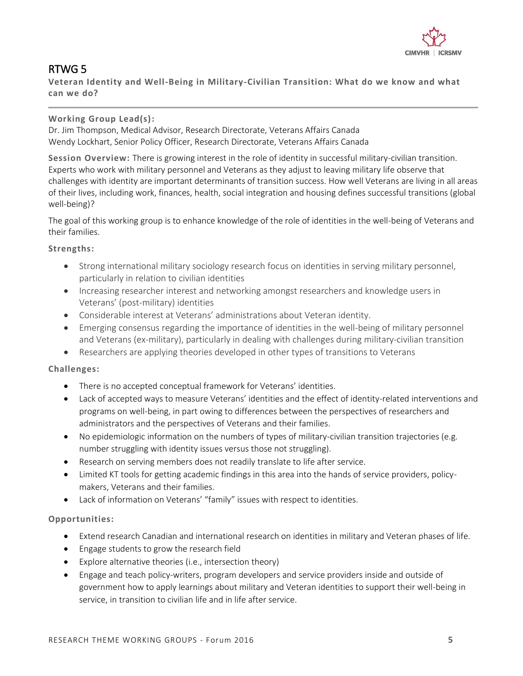

# RTWG 5

**Veteran Identity and Well-Being in Military-Civilian Transition: What do we know and what can we do?**

#### **Working Group Lead(s):**

Dr. Jim Thompson, Medical Advisor, Research Directorate, Veterans Affairs Canada Wendy Lockhart, Senior Policy Officer, Research Directorate, Veterans Affairs Canada

**Session Overview:** There is growing interest in the role of identity in successful military-civilian transition. Experts who work with military personnel and Veterans as they adjust to leaving military life observe that challenges with identity are important determinants of transition success. How well Veterans are living in all areas of their lives, including work, finances, health, social integration and housing defines successful transitions (global well-being)?

The goal of this working group is to enhance knowledge of the role of identities in the well-being of Veterans and their families.

#### **Strengths:**

- Strong international military sociology research focus on identities in serving military personnel, particularly in relation to civilian identities
- Increasing researcher interest and networking amongst researchers and knowledge users in Veterans' (post-military) identities
- Considerable interest at Veterans' administrations about Veteran identity.
- Emerging consensus regarding the importance of identities in the well-being of military personnel and Veterans (ex-military), particularly in dealing with challenges during military-civilian transition
- Researchers are applying theories developed in other types of transitions to Veterans

#### **Challenges:**

- There is no accepted conceptual framework for Veterans' identities.
- Lack of accepted ways to measure Veterans' identities and the effect of identity-related interventions and programs on well-being, in part owing to differences between the perspectives of researchers and administrators and the perspectives of Veterans and their families.
- No epidemiologic information on the numbers of types of military-civilian transition trajectories (e.g. number struggling with identity issues versus those not struggling).
- Research on serving members does not readily translate to life after service.
- Limited KT tools for getting academic findings in this area into the hands of service providers, policymakers, Veterans and their families.
- Lack of information on Veterans' "family" issues with respect to identities.

#### **Opportunities:**

- Extend research Canadian and international research on identities in military and Veteran phases of life.
- Engage students to grow the research field
- Explore alternative theories (i.e., intersection theory)
- Engage and teach policy-writers, program developers and service providers inside and outside of government how to apply learnings about military and Veteran identities to support their well-being in service, in transition to civilian life and in life after service.